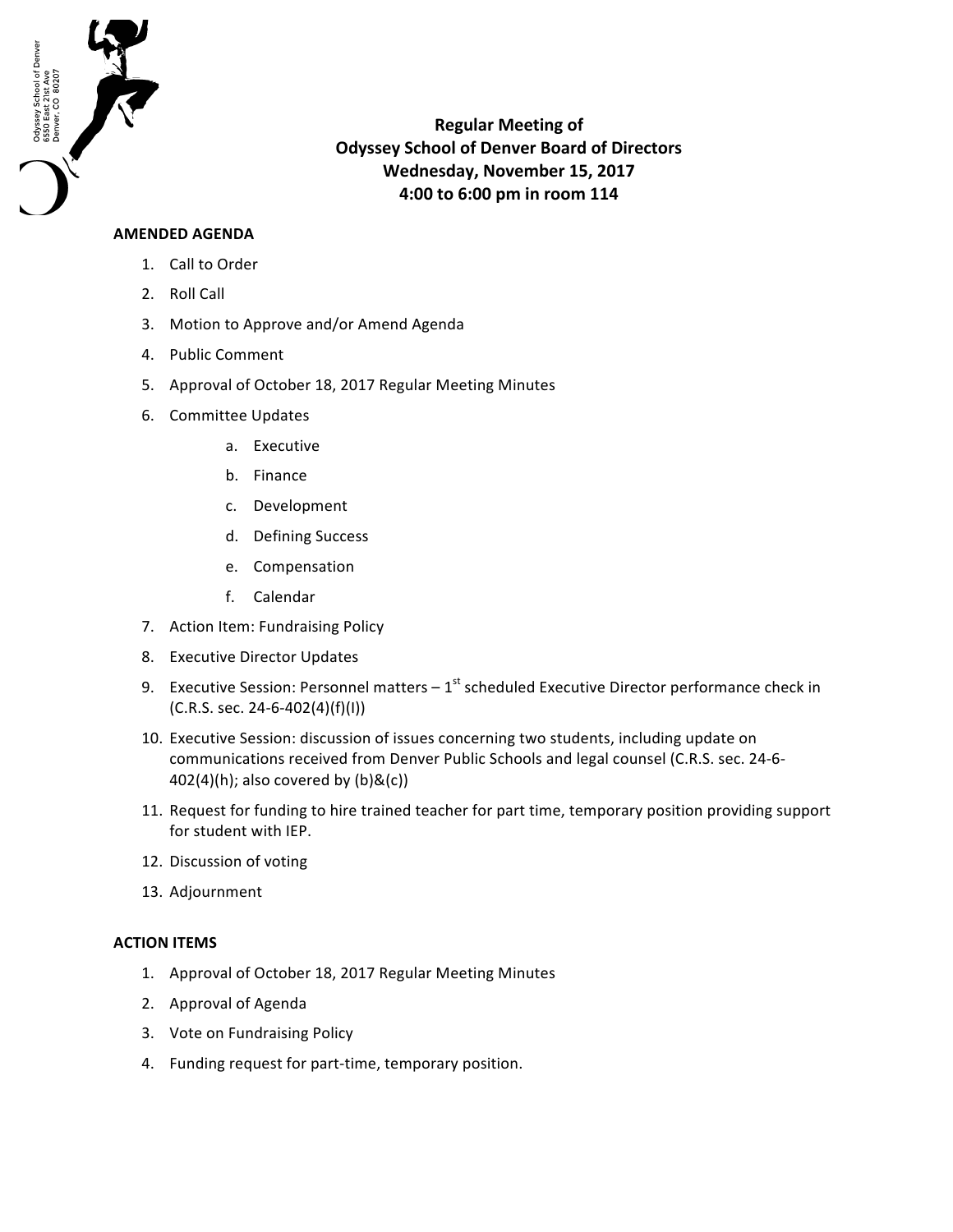

**Regular Meeting of Odyssey School of Denver Board of Directors** Wednesday, November 15, 2017 **4:00 to 6:00 pm in room 114**

## **AMENDED AGENDA**

- 1. Call to Order
- 2. Roll Call
- 3. Motion to Approve and/or Amend Agenda
- 4. Public Comment
- 5. Approval of October 18, 2017 Regular Meeting Minutes
- 6. Committee Updates
	- a. Executive
	- b. Finance
	- c. Development
	- d. Defining Success
	- e. Compensation
	- f. Calendar
- 7. Action Item: Fundraising Policy
- 8. Executive Director Updates
- 9. Executive Session: Personnel matters  $-1^{st}$  scheduled Executive Director performance check in  $(C.R.S. sec. 24-6-402(4)(f)(I))$
- 10. Executive Session: discussion of issues concerning two students, including update on communications received from Denver Public Schools and legal counsel (C.R.S. sec. 24-6- $402(4)(h)$ ; also covered by  $(b)$ &(c))
- 11. Request for funding to hire trained teacher for part time, temporary position providing support for student with IEP.
- 12. Discussion of voting
- 13. Adjournment

## **ACTION ITEMS**

- 1. Approval of October 18, 2017 Regular Meeting Minutes
- 2. Approval of Agenda
- 3. Vote on Fundraising Policy
- 4. Funding request for part-time, temporary position.